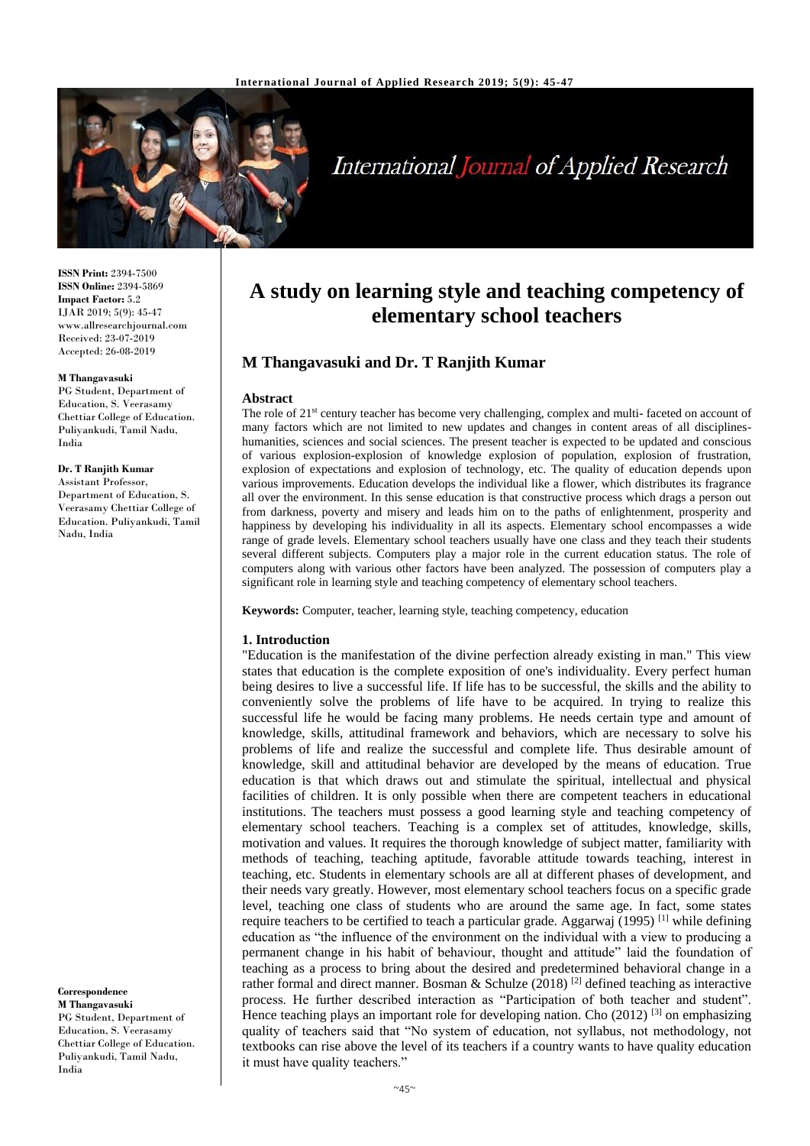

# **International Journal of Applied Research**

**ISSN Print:** 2394-7500 **ISSN Online:** 2394-5869 **Impact Factor:** 5.2 IJAR 2019; 5(9): 45-47 www.allresearchjournal.com Received: 23-07-2019 Accepted: 26-08-2019

#### **M Thangavasuki**

PG Student, Department of Education, S. Veerasamy Chettiar College of Education. Puliyankudi, Tamil Nadu, India

#### **Dr. T Ranjith Kumar**

Assistant Professor, Department of Education, S. Veerasamy Chettiar College of Education. Puliyankudi, Tamil Nadu, India

**Correspondence M Thangavasuki** PG Student, Department of Education, S. Veerasamy Chettiar College of Education. Puliyankudi, Tamil Nadu, India

## **A study on learning style and teaching competency of elementary school teachers**

## **M Thangavasuki and Dr. T Ranjith Kumar**

#### **Abstract**

The role of 21<sup>st</sup> century teacher has become very challenging, complex and multi-faceted on account of many factors which are not limited to new updates and changes in content areas of all disciplineshumanities, sciences and social sciences. The present teacher is expected to be updated and conscious of various explosion-explosion of knowledge explosion of population, explosion of frustration, explosion of expectations and explosion of technology, etc. The quality of education depends upon various improvements. Education develops the individual like a flower, which distributes its fragrance all over the environment. In this sense education is that constructive process which drags a person out from darkness, poverty and misery and leads him on to the paths of enlightenment, prosperity and happiness by developing his individuality in all its aspects. Elementary school encompasses a wide range of grade levels. Elementary school teachers usually have one class and they teach their students several different subjects. Computers play a major role in the current education status. The role of computers along with various other factors have been analyzed. The possession of computers play a significant role in learning style and teaching competency of elementary school teachers.

**Keywords:** Computer, teacher, learning style, teaching competency, education

#### **1. Introduction**

"Education is the manifestation of the divine perfection already existing in man." This view states that education is the complete exposition of one's individuality. Every perfect human being desires to live a successful life. If life has to be successful, the skills and the ability to conveniently solve the problems of life have to be acquired. In trying to realize this successful life he would be facing many problems. He needs certain type and amount of knowledge, skills, attitudinal framework and behaviors, which are necessary to solve his problems of life and realize the successful and complete life. Thus desirable amount of knowledge, skill and attitudinal behavior are developed by the means of education. True education is that which draws out and stimulate the spiritual, intellectual and physical facilities of children. It is only possible when there are competent teachers in educational institutions. The teachers must possess a good learning style and teaching competency of elementary school teachers. Teaching is a complex set of attitudes, knowledge, skills, motivation and values. It requires the thorough knowledge of subject matter, familiarity with methods of teaching, teaching aptitude, favorable attitude towards teaching, interest in teaching, etc. Students in elementary schools are all at different phases of development, and their needs vary greatly. However, most elementary school teachers focus on a specific grade level, teaching one class of students who are around the same age. In fact, some states require teachers to be certified to teach a particular grade. Aggarwaj (1995)<sup>[1]</sup> while defining education as "the influence of the environment on the individual with a view to producing a permanent change in his habit of behaviour, thought and attitude" laid the foundation of teaching as a process to bring about the desired and predetermined behavioral change in a rather formal and direct manner. Bosman & Schulze (2018)<sup>[2]</sup> defined teaching as interactive process. He further described interaction as "Participation of both teacher and student". Hence teaching plays an important role for developing nation. Cho  $(2012)$  <sup>[3]</sup> on emphasizing quality of teachers said that "No system of education, not syllabus, not methodology, not textbooks can rise above the level of its teachers if a country wants to have quality education it must have quality teachers."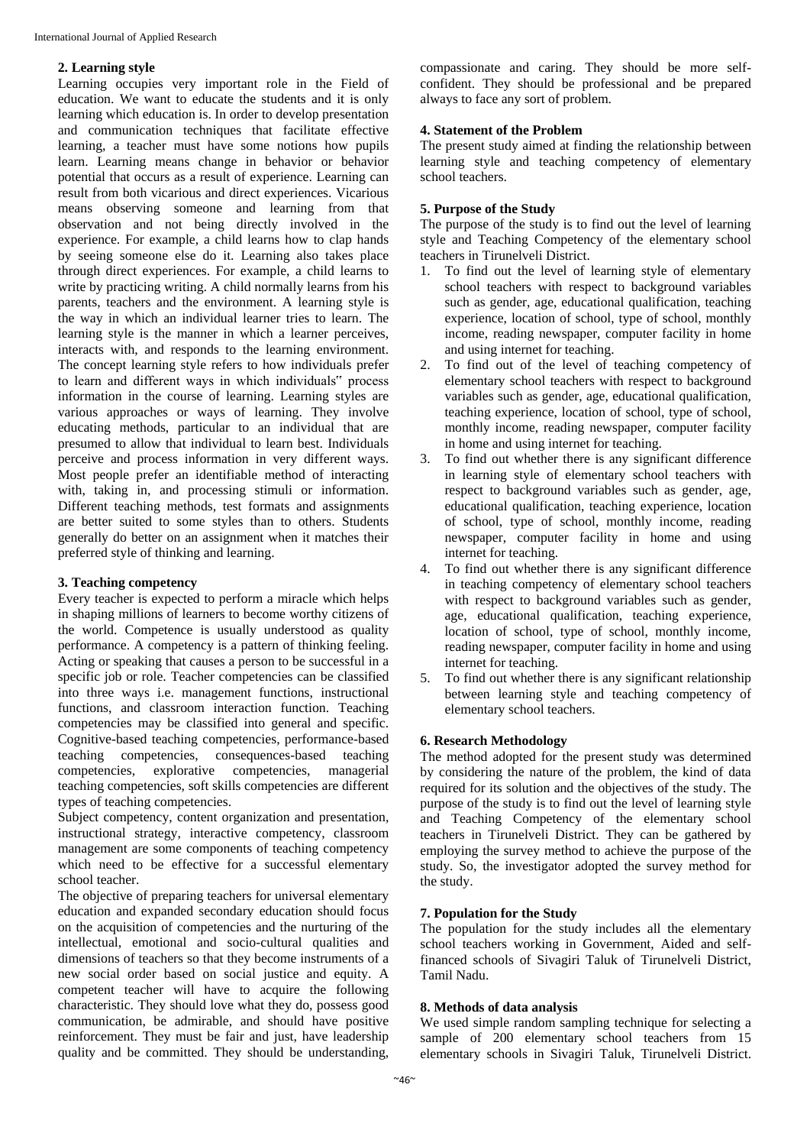#### **2. Learning style**

Learning occupies very important role in the Field of education. We want to educate the students and it is only learning which education is. In order to develop presentation and communication techniques that facilitate effective learning, a teacher must have some notions how pupils learn. Learning means change in behavior or behavior potential that occurs as a result of experience. Learning can result from both vicarious and direct experiences. Vicarious means observing someone and learning from that observation and not being directly involved in the experience. For example, a child learns how to clap hands by seeing someone else do it. Learning also takes place through direct experiences. For example, a child learns to write by practicing writing. A child normally learns from his parents, teachers and the environment. A learning style is the way in which an individual learner tries to learn. The learning style is the manner in which a learner perceives, interacts with, and responds to the learning environment. The concept learning style refers to how individuals prefer to learn and different ways in which individuals" process information in the course of learning. Learning styles are various approaches or ways of learning. They involve educating methods, particular to an individual that are presumed to allow that individual to learn best. Individuals perceive and process information in very different ways. Most people prefer an identifiable method of interacting with, taking in, and processing stimuli or information. Different teaching methods, test formats and assignments are better suited to some styles than to others. Students generally do better on an assignment when it matches their preferred style of thinking and learning.

#### **3. Teaching competency**

Every teacher is expected to perform a miracle which helps in shaping millions of learners to become worthy citizens of the world. Competence is usually understood as quality performance. A competency is a pattern of thinking feeling. Acting or speaking that causes a person to be successful in a specific job or role. Teacher competencies can be classified into three ways i.e. management functions, instructional functions, and classroom interaction function. Teaching competencies may be classified into general and specific. Cognitive-based teaching competencies, performance-based teaching competencies, consequences-based teaching competencies, explorative competencies, managerial teaching competencies, soft skills competencies are different types of teaching competencies.

Subject competency, content organization and presentation, instructional strategy, interactive competency, classroom management are some components of teaching competency which need to be effective for a successful elementary school teacher.

The objective of preparing teachers for universal elementary education and expanded secondary education should focus on the acquisition of competencies and the nurturing of the intellectual, emotional and socio-cultural qualities and dimensions of teachers so that they become instruments of a new social order based on social justice and equity. A competent teacher will have to acquire the following characteristic. They should love what they do, possess good communication, be admirable, and should have positive reinforcement. They must be fair and just, have leadership quality and be committed. They should be understanding, compassionate and caring. They should be more selfconfident. They should be professional and be prepared always to face any sort of problem.

#### **4. Statement of the Problem**

The present study aimed at finding the relationship between learning style and teaching competency of elementary school teachers.

#### **5. Purpose of the Study**

The purpose of the study is to find out the level of learning style and Teaching Competency of the elementary school teachers in Tirunelveli District.

- 1. To find out the level of learning style of elementary school teachers with respect to background variables such as gender, age, educational qualification, teaching experience, location of school, type of school, monthly income, reading newspaper, computer facility in home and using internet for teaching.
- 2. To find out of the level of teaching competency of elementary school teachers with respect to background variables such as gender, age, educational qualification, teaching experience, location of school, type of school, monthly income, reading newspaper, computer facility in home and using internet for teaching.
- 3. To find out whether there is any significant difference in learning style of elementary school teachers with respect to background variables such as gender, age, educational qualification, teaching experience, location of school, type of school, monthly income, reading newspaper, computer facility in home and using internet for teaching.
- 4. To find out whether there is any significant difference in teaching competency of elementary school teachers with respect to background variables such as gender, age, educational qualification, teaching experience, location of school, type of school, monthly income, reading newspaper, computer facility in home and using internet for teaching.
- 5. To find out whether there is any significant relationship between learning style and teaching competency of elementary school teachers.

## **6. Research Methodology**

The method adopted for the present study was determined by considering the nature of the problem, the kind of data required for its solution and the objectives of the study. The purpose of the study is to find out the level of learning style and Teaching Competency of the elementary school teachers in Tirunelveli District. They can be gathered by employing the survey method to achieve the purpose of the study. So, the investigator adopted the survey method for the study.

#### **7. Population for the Study**

The population for the study includes all the elementary school teachers working in Government, Aided and selffinanced schools of Sivagiri Taluk of Tirunelveli District, Tamil Nadu.

#### **8. Methods of data analysis**

We used simple random sampling technique for selecting a sample of 200 elementary school teachers from 15 elementary schools in Sivagiri Taluk, Tirunelveli District.